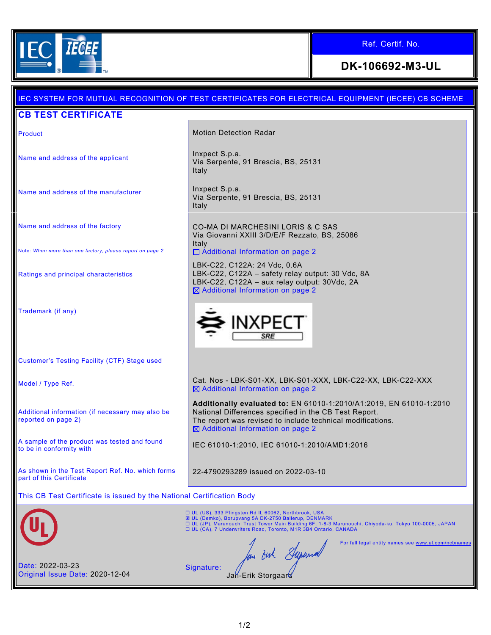

## Ref. Certif. No.

**DK-106692-M3-UL**

# IEC SYSTEM FOR MUTUAL RECOGNITION OF TEST CERTIFICATES FOR ELECTRICAL EQUIPMENT (IECEE) CB SCHEME **CB TEST CERTIFICATE** Product **Motion Detection Radar** Motion Detection Radar Name and address of the applicant **Inxpect S.p.a.** Inxpect S.p.a. Via Serpente, 91 Brescia, BS, 25131 Italy Name and address of the manufacturer  $\vert$  Inxpect S.p.a. Via Serpente, 91 Brescia, BS, 25131 Italy Name and address of the factory CO-MA DI MARCHESINI LORIS & C SAS Via Giovanni XXIII 3/D/E/F Rezzato, BS, 25086 Italy Note: *When more than one factory, please report on page 2* □ Additional Information on page 2 LBK-C22, C122A: 24 Vdc, 0.6A Ratings and principal characteristics LBK-C22, C122A – safety relay output: 30 Vdc, 8A LBK-C22, C122A – aux relay output: 30Vdc, 2A  $\boxtimes$  Additional Information on page 2 Trademark (if any) INXPF Customer's Testing Facility (CTF) Stage used Model / Type Ref. et. Cat. Nos - LBK-S01-XX, LBK-S01-XXX, LBK-C22-XX, LBK-C22-XXX  $\boxtimes$  Additional Information on page 2 **Additionally evaluated to:** EN 61010-1:2010/A1:2019, EN 61010-1:2010 Additional information (if necessary may also be National Differences specified in the CB Test Report. reported on page 2) The report was revised to include technical modifications.  $\boxtimes$  Additional Information on page 2 A sample of the product was tested and found<br>to be in conformity with IEC 61010-1:2010, IEC 61010-1:2010/AMD1:2016 As shown in the Test Report Ref. No. which forms 22-4790293289 issued on 2022-03-10 part of this Certificate This CB Test Certificate is issued by the National Certification Body UL (US), 333 Pfingsten Rd IL 60062, Northbrook, USA ⊠ UL (Demko), Borupvang 5A DK-2750 Ballerup, DENMARK<br>□ UL (JP), Marunouchi Trust Tower Main Building 6F, 1-8-3 Marunouchi, Chiyoda-ku, Tokyo 100-0005, JAPAN<br>□ UL (CA), 7 Underwriters Road, Toronto, M1R 3B4 Ontario, CANA For full legal entity names see www.ul.com/ncbna In out Superior Date: 2022-03-23 Signature: Original Issue Date: 2020-12-04 Jan-Erik Storgaar